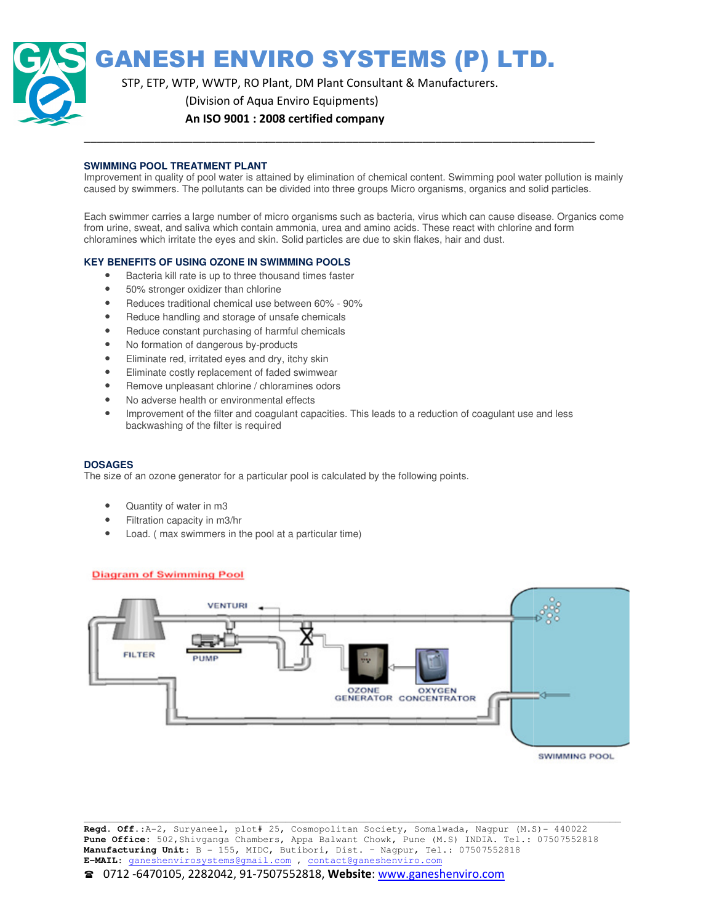GANESH ENVIRO SYSTEMS (P) LTD.

STP, ETP, WTP, WWTP, RO Plant, DM Plant Consultant & Manufacturers.

(Division of Aqua Enviro Equipments)

An ISO 9001 : 2008 certified company

#### **SWIMMING POOL TREATMENT PLANT**

Improvement in quality of pool water is attained by elimination of chemical content. Swimming pool water pollution is mainly caused by swimmers. The pollutants can be divided into three groups Micro organisms, organics and solid particles. Improvement in quality of pool water is attained by elimination of chemical content. Swimming pool water pollution is mainly<br>caused by swimmers. The pollutants can be divided into three groups Micro organisms, organics and

\_\_\_\_\_\_\_\_\_\_\_\_\_\_\_\_\_\_\_\_\_\_\_\_\_\_\_\_\_\_\_\_\_\_\_\_\_\_\_\_\_\_\_\_\_\_\_\_\_\_\_\_\_\_\_\_\_\_\_\_\_\_\_\_\_\_\_\_\_\_\_\_\_\_\_\_\_\_\_\_

from urine, sweat, and saliva which contain ammonia, urea and amino acids. These react with chlorine and form from urine, sweat, and saliva which contain ammonia, urea and amino acids. These react with chlorine and form<br>chloramines which irritate the eyes and skin. Solid particles are due to skin flakes, hair and dust.

#### **KEY BENEFITS OF USING OZONE IN SWIMMING POOLS OF USING**

- Bacteria kill rate is up to three thousand times faster
- 50% stronger oxidizer than chlorine
- Bacteria kill rate is up to three thousand times faster<br>• 50% stronger oxidizer than chlorine<br>• Reduces traditional chemical use between 60% 90%
- Reduce handling and storage of unsafe chemicals
- Reduce constant purchasing of harmful chemicals
- No formation of dangerous by-products of unsafe<br>of harmful<br>r-products
- Eliminate red, irritated eyes and dry, itchy skin
- Eliminate red, irritated eyes and dry, itchy skin<br>• Eliminate costly replacement of faded swimwear
- Remove unpleasant chlorine / chloramines odors
- No adverse health or environmental effects
- Improvement of the filter and coagulant capacities. This leads to a reduction of coagulant use and less backwashing of the filter is required

#### **DOSAGES**

The size of an ozone generator for a particular pool is calculated by the following points.

- Quantity of water in m3
- Filtration capacity in m3/hr
- Load. ( max swimmers in the pool at a particular time)



\_\_\_\_\_\_\_\_\_\_\_\_\_\_\_\_\_\_\_\_\_\_\_\_\_\_\_\_\_\_\_\_\_\_\_\_\_\_\_\_\_\_\_\_\_\_\_\_\_\_\_\_\_\_\_\_\_\_\_\_\_\_\_\_\_\_\_\_\_\_\_ **Regd. Off.**:A-2, Suryaneel, plot# 25, Cosmopolitan Society, Somalwada, Nagpur (M.S)- 440022 Pune Office: 502, Shivganga Chambers, Appa Balwant Chowk, Pune (M.S) INDIA. Tel.: 07507552818 **Manufacturing Unit**: B - 155, MIDC, MIDC, Butibori, Dist. – Nagpur, Tel.: 07507552818 **E-MAIL**: ganeshenvirosystems@gmail.com ganeshenvirosystems@gmail.com , contact@ganeshenviro.com \_\_\_\_\_\_\_\_\_\_\_\_\_\_\_\_\_\_\_\_\_\_\_\_\_\_\_\_\_\_\_\_\_\_\_\_\_\_\_\_\_\_\_\_\_\_\_\_\_\_\_\_\_\_\_\_\_\_\_\_\_\_\_\_\_\_\_\_\_\_\_\_\_\_\_\_\_\_\_\_\_\_\_\_\_\_\_\_\_\_\_\_\_\_\_\_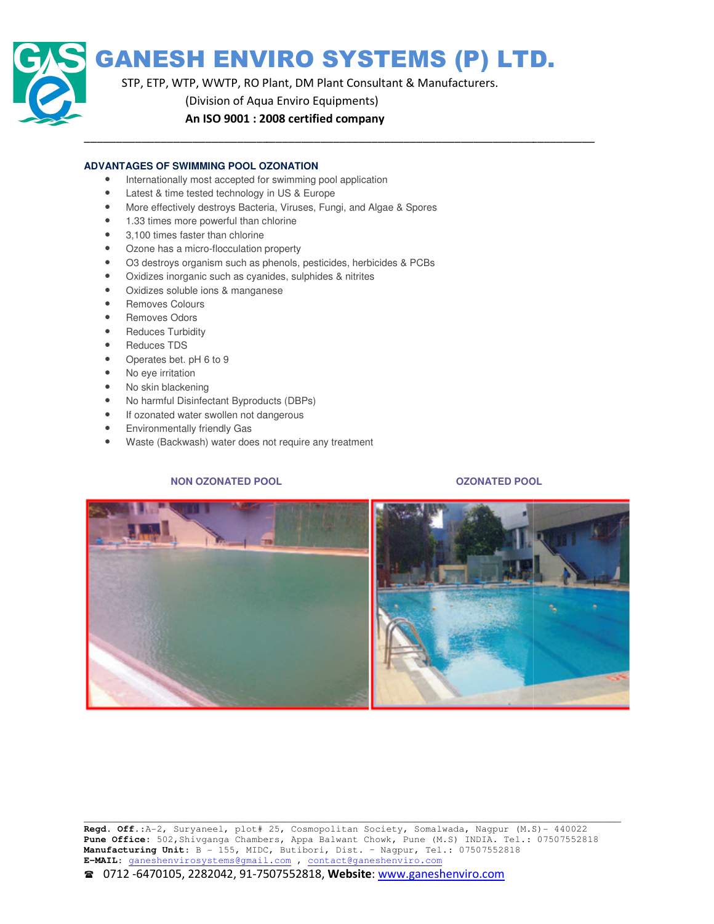

# GANESH ENVIRO SYSTEMS (P) LTD.

\_\_\_\_\_\_\_\_\_\_\_\_\_\_\_\_\_\_\_\_\_\_\_\_\_\_\_\_\_\_\_\_\_\_\_\_\_\_\_\_\_\_\_\_\_\_\_\_\_\_\_\_\_\_\_\_\_\_\_\_\_\_\_\_\_\_\_\_\_\_\_\_\_\_\_\_\_\_\_\_

STP, ETP, WTP, WWTP, RO Plant, DM Plant Consultant & Manufacturers.

(Division of Aqua Enviro Equipments)

# An ISO 9001 : 2008 certified company

### **ADVANTAGES OF SWIMMING POOL OZONATION**

- Internationally most accepted for swimming pool application
- Latest & time tested technology in US & Europe
- More effectively destroys Bacteria, Viruses, Fungi, and Algae & Spores
- 1.33 times more powerful than chlorine
- 3,100 times faster than chlorine
- Ozone has a micro-flocculation property
- O3 destroys organism such as phenols, pesticides, herbicides & PCBs Ozone has a micro-flocculation property<br>O3 destroys organism such as phenols, pesticides, herbicides &<br>Oxidizes inorganic such as cyanides, sulphides & nitrites<br>Oxidizes soluble ions & manganese<br>Removes Colours<br>Removes Col
- Oxidizes inorganic such as cyanides, sulphides & nitrites
- Oxidizes soluble ions & manganese
- Removes Colours
- Removes Odors
- Reduces Turbidity
- Reduces TDS
- Operates bet. pH 6 to 9
- No eye irritation
- No skin blackening
- No harmful Disinfectant Byproducts (DBPs)
- If ozonated water swollen not dangerous
- Environmentally friendly Gas
- Waste (Backwash) water does not require any treatment

# **NON OZONATED POOL**

# **OZONATED POOL**

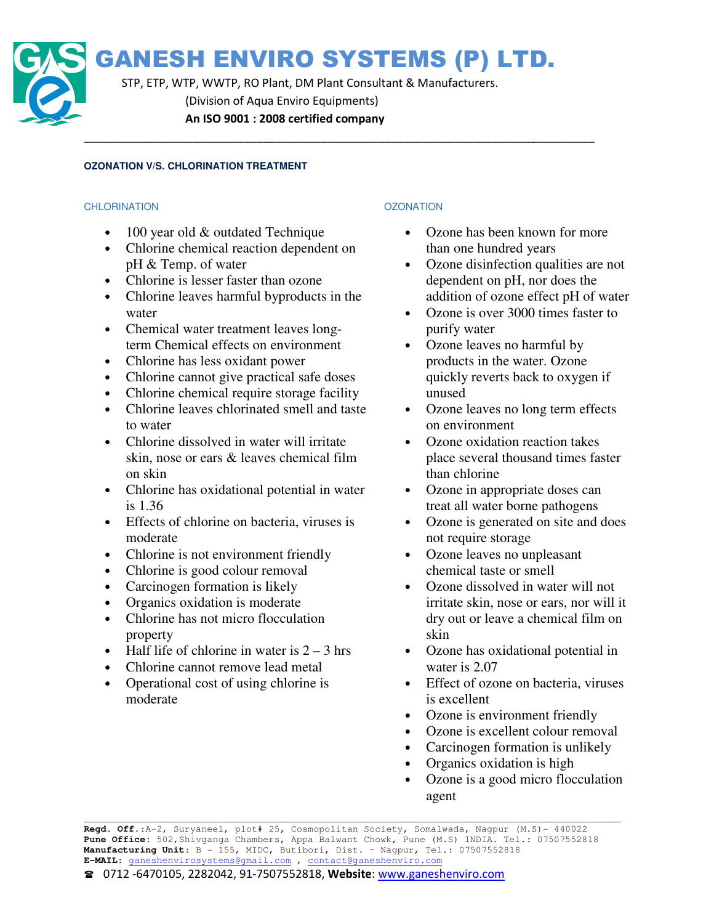

STP, ETP, WTP, WWTP, RO Plant, DM Plant Consultant & Manufacturers. (Division of Aqua Enviro Equipments) An ISO 9001 : 2008 certified company

\_\_\_\_\_\_\_\_\_\_\_\_\_\_\_\_\_\_\_\_\_\_\_\_\_\_\_\_\_\_\_\_\_\_\_\_\_\_\_\_\_\_\_\_\_\_\_\_\_\_\_\_\_\_\_\_\_\_\_\_\_\_\_\_\_\_\_\_\_\_\_\_\_\_\_\_\_\_\_\_

# **OZONATION V/S. CHLORINATION TREATMENT**

# **CHLORINATION**

- 100 year old & outdated Technique
- Chlorine chemical reaction dependent on pH & Temp. of water
- Chlorine is lesser faster than ozone
- Chlorine leaves harmful byproducts in the water
- Chemical water treatment leaves longterm Chemical effects on environment
- Chlorine has less oxidant power
- Chlorine cannot give practical safe doses
- Chlorine chemical require storage facility
- Chlorine leaves chlorinated smell and taste to water
- Chlorine dissolved in water will irritate skin, nose or ears & leaves chemical film on skin e chemical require storage facility<br>
e leaves chlorinated smell and tas<br>
c<br>
e dissolved in water will irritate<br>
se or ears & leaves chemical film<br>
e has oxidational potential in wat<br>
of chlorine on bacteria, viruses is<br>
te
- Chlorine has oxidational potential in water is 1.36
- Effects of chlorine on bacteria, viruses is moderate
- Chlorine is not environment friendly
- Chlorine is good colour removal
- Carcinogen formation is likely
- Organics oxidation is moderate
- Chlorine has not micro flocculation property
- Half life of chlorine in water is  $2 3$  hrs
- Chlorine cannot remove lead metal
- Operational cost of using chlorine is moderate

# **OZONATION**

- Ozone has been known for more than one hundred years
- Ozone disinfection qualities are not dependent on pH, nor does the addition of ozone effect pH of water
- Ozone is over 3000 times faster to purify water
- Ozone leaves no harmful by products in the water. Ozone quickly reverts back to oxygen if unused Ozone has been known for more<br>than one hundred years<br>Ozone disinfection qualities are not<br>dependent on pH, nor does the<br>addition of ozone effect pH of wate<br>Ozone is over 3000 times faster to<br>purify water<br>Ozone leaves no ha
- Ozone leaves no long term effects on environment
- Ozone oxidation reaction takes place several thousand times fa than chlorine
- Ozone in appropriate doses can treat all water borne pathogens
- Ozone is generated on site and does not require storage
- Ozone leaves no unpleasant chemical taste or smell
- Ozone dissolved in water will not irritate skin, nose or ears, nor dry out or leave a chemical film on skin Ozone in appropriate doses can<br>treat all water borne pathogens<br>Ozone is generated on site and does<br>not require storage<br>Ozone leaves no unpleasant<br>chemical taste or smell<br>Ozone dissolved in water will not<br>irritate skin, nos
- Ozone has oxidational potential in water is 2.07
- Effect of ozone on bacteria, viruses is excellent dry out or leave a cl<br>skin<br>Ozone has oxidation<br>water is 2.07<br>Effect of ozone on l<br>is excellent<br>Ozone is excellent c<br>Carcinogen formation<br>Organics oxidation<br>Ozone is a good mi
- Ozone is environment friendly
- Ozone is excellent colour removal
- Carcinogen formation is unlikely
- Organics oxidation is high
- Ozone is a good micro flocculation agent

\_\_\_\_\_\_\_\_\_\_\_\_\_\_\_\_\_\_\_\_\_\_\_\_\_\_\_\_\_\_\_\_\_\_\_\_\_\_\_\_\_\_\_\_\_\_\_\_\_\_\_\_\_\_\_\_\_\_\_\_\_\_\_\_\_\_\_\_\_\_\_\_\_\_\_\_\_\_\_\_\_\_\_\_\_\_\_\_\_\_\_\_\_\_\_\_

\_\_\_\_\_\_\_\_\_\_\_\_\_\_\_\_\_\_\_\_\_\_\_\_\_\_\_\_\_\_\_\_\_\_\_\_\_\_\_\_\_\_\_\_\_\_\_\_\_\_\_\_\_\_\_\_\_\_\_\_\_\_\_\_\_\_\_\_\_\_\_

**Regd. Off.**:A-2, Suryaneel, plot# 25, Cosmopolitan Society, Somalwada, Nagpur (M.S)- 440022 Pune Office: 502, Shivganga Chambers, Appa Balwant Chowk, Pune (M.S) INDIA. Tel.: 07507552818 **Manufacturing Unit**: B - 155, MIDC, MIDC, Butibori, Dist. – Nagpur, Tel.: 07507552818 **E-MAIL**: ganeshenvirosystems@gmail.com ganeshenvirosystems@gmail.com , contact@ganeshenviro.com